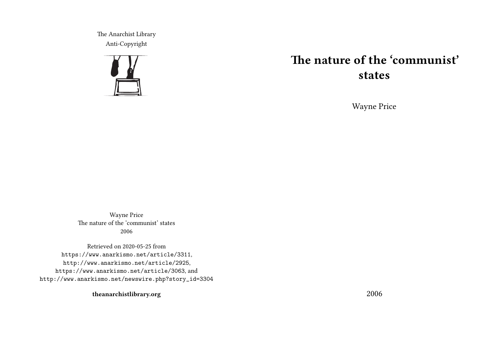The Anarchist Library Anti-Copyright



# **The nature of the 'communist' states**

Wayne Price

Wayne Price The nature of the 'communist' states 2006

Retrieved on 2020-05-25 from https://www.anarkismo.net/article/3311, http://www.anarkismo.net/article/2925, https://www.anarkismo.net/article/3063, and http://www.anarkismo.net/newswire.php?story\_id=3304

**theanarchistlibrary.org**

2006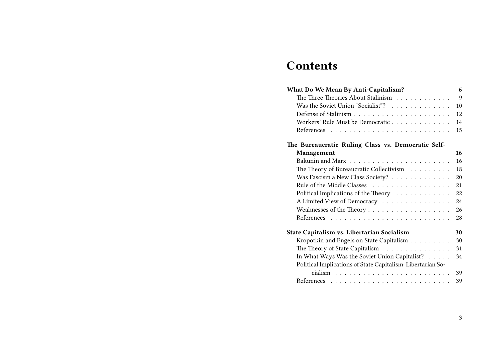# **Contents**

| What Do We Mean By Anti-Capitalism?                         | 6  |
|-------------------------------------------------------------|----|
| The Three Theories About Stalinism                          | 9  |
| Was the Soviet Union "Socialist"?                           | 10 |
|                                                             | 12 |
| Workers' Rule Must be Democratic                            | 14 |
|                                                             | 15 |
| The Bureaucratic Ruling Class vs. Democratic Self-          |    |
| Management                                                  | 16 |
|                                                             | 16 |
| The Theory of Bureaucratic Collectivism                     | 18 |
| Was Fascism a New Class Society?                            | 20 |
|                                                             | 21 |
| Political Implications of the Theory                        | 22 |
| A Limited View of Democracy                                 | 24 |
| Weaknesses of the Theory                                    | 26 |
|                                                             | 28 |
| State Capitalism vs. Libertarian Socialism                  | 30 |
| Kropotkin and Engels on State Capitalism                    | 30 |
| The Theory of State Capitalism                              | 31 |
| In What Ways Was the Soviet Union Capitalist?               | 34 |
| Political Implications of State Capitalism: Libertarian So- |    |
|                                                             | 39 |
|                                                             | 39 |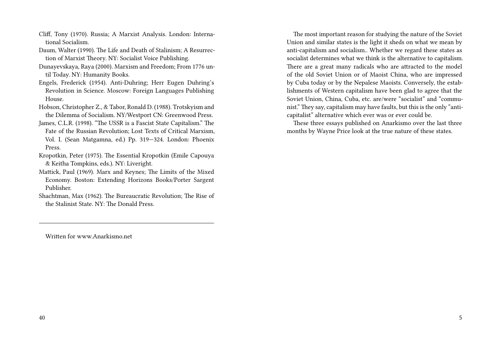- Cliff, Tony (1970). Russia; A Marxist Analysis. London: International Socialism.
- Daum, Walter (1990). The Life and Death of Stalinism; A Resurrection of Marxist Theory. NY: Socialist Voice Publishing.
- Dunayevskaya, Raya (2000). Marxism and Freedom; From 1776 until Today. NY: Humanity Books.
- Engels, Frederick (1954). Anti-Duhring; Herr Eugen Duhring's Revolution in Science. Moscow: Foreign Languages Publishing House.
- Hobson, Christopher Z., & Tabor, Ronald D. (1988). Trotskyism and the Dilemma of Socialism. NY/Westport CN: Greenwood Press.
- James, C.L.R. (1998). "The USSR is a Fascist State Capitalism." The Fate of the Russian Revolution; Lost Texts of Critical Marxism, Vol. I. (Sean Matgamna, ed.) Pp. 319—324. London: Phoenix Press.
- Kropotkin, Peter (1975). The Essential Kropotkin (Emile Capouya & Keitha Tompkins, eds.). NY: Liveright.
- Mattick, Paul (1969). Marx and Keynes; The Limits of the Mixed Economy. Boston: Extending Horizons Books/Porter Sargent Publisher.
- Shachtman, Max (1962). The Bureaucratic Revolution; The Rise of the Stalinist State. NY: The Donald Press.

The most important reason for studying the nature of the Soviet Union and similar states is the light it sheds on what we mean by anti-capitalism and socialism.. Whether we regard these states as socialist determines what we think is the alternative to capitalism. There are a great many radicals who are attracted to the model of the old Soviet Union or of Maoist China, who are impressed by Cuba today or by the Nepalese Maoists. Conversely, the establishments of Western capitalism have been glad to agree that the Soviet Union, China, Cuba, etc. are/were "socialist" and "communist." They say, capitalism may have faults, but this is the only "anticapitalist" alternative which ever was or ever could be.

These three essays published on Anarkismo over the last three months by Wayne Price look at the true nature of these states.

Written for www.Anarkismo.net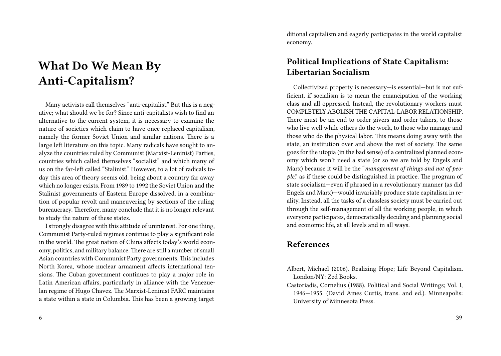# **What Do We Mean By Anti-Capitalism?**

Many activists call themselves "anti-capitalist." But this is a negative; what should we be for? Since anti-capitalists wish to find an alternative to the current system, it is necessary to examine the nature of societies which claim to have once replaced capitalism, namely the former Soviet Union and similar nations. There is a large left literature on this topic. Many radicals have sought to analyze the countries ruled by Communist (Marxist-Leninist) Parties, countries which called themselves "socialist" and which many of us on the far-left called "Stalinist." However, to a lot of radicals today this area of theory seems old, being about a country far away which no longer exists. From 1989 to 1992 the Soviet Union and the Stalinist governments of Eastern Europe dissolved, in a combination of popular revolt and maneuvering by sections of the ruling bureaucracy. Therefore, many conclude that it is no longer relevant to study the nature of these states.

I strongly disagree with this attitude of uninterest. For one thing, Communist Party-ruled regimes continue to play a significant role in the world. The great nation of China affects today's world economy, politics, and military balance. There are still a number of small Asian countries with Communist Party governments. This includes North Korea, whose nuclear armament affects international tensions. The Cuban government continues to play a major role in Latin American affairs, particularly in alliance with the Venezuelan regime of Hugo Chavez. The Marxist-Leninist FARC maintains a state within a state in Columbia. This has been a growing target ditional capitalism and eagerly participates in the world capitalist economy.

# **Political Implications of State Capitalism: Libertarian Socialism**

Collectivized property is necessary—is essential—but is not sufficient, if socialism is to mean the emancipation of the working class and all oppressed. Instead, the revolutionary workers must COMPLETELY ABOLISH THE CAPITAL-LABOR RELATIONSHIP. There must be an end to order-givers and order-takers, to those who live well while others do the work, to those who manage and those who do the physical labor. This means doing away with the state, an institution over and above the rest of society. The same goes for the utopia (in the bad sense) of a centralized planned economy which won't need a state (or so we are told by Engels and Marx) because it will be the "*management of things and not of people*," as if these could be distinguished in practice. The program of state socialism—even if phrased in a revolutionary manner (as did Engels and Marx)—would invariably produce state capitalism in reality. Instead, all the tasks of a classless society must be carried out through the self-management of all the working people, in which everyone participates, democratically deciding and planning social and economic life, at all levels and in all ways.

# **References**

- Albert, Michael (2006). Realizing Hope; Life Beyond Capitalism. London/NY: Zed Books.
- Castoriadis, Cornelius (1988). Political and Social Writings; Vol. I, 1946—1955. (David Ames Curtis, trans. and ed.). Minneapolis: University of Minnesota Press.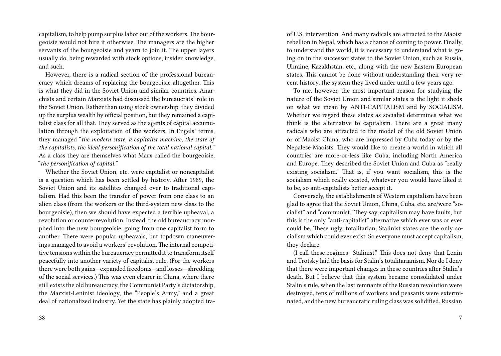capitalism, to help pump surplus labor out of the workers.The bourgeoisie would not hire it otherwise. The managers are the higher servants of the bourgeoisie and yearn to join it. The upper layers usually do, being rewarded with stock options, insider knowledge, and such.

However, there is a radical section of the professional bureaucracy which dreams of replacing the bourgeoisie altogether. This is what they did in the Soviet Union and similar countries. Anarchists and certain Marxists had discussed the bureaucrats' role in the Soviet Union. Rather than using stock ownership, they divided up the surplus wealth by official position, but they remained a capitalist class for all that. They served as the agents of capital accumulation through the exploitation of the workers. In Engels' terms, they managed "*the modern state, a capitalist machine, the state of the capitalists, the ideal personification of the total national capital.*" As a class they are themselves what Marx called the bourgeoisie, "*the personification of capital.*"

Whether the Soviet Union, etc. were capitalist or noncapitalist is a question which has been settled by history. After 1989, the Soviet Union and its satellites changed over to traditional capitalism. Had this been the transfer of power from one class to an alien class (from the workers or the third-system new class to the bourgeoisie), then we should have expected a terrible upheaval, a revolution or counterrevolution. Instead, the old bureaucracy morphed into the new bourgeoisie, going from one capitalist form to another. There were popular upheavals, but topdown maneuverings managed to avoid a workers' revolution. The internal competitive tensions within the bureaucracy permitted it to transform itself peacefully into another variety of capitalist rule. (For the workers there were both gains—expanded freedoms—and losses—shredding of the social services.) This was even clearer in China, where there still exists the old bureaucracy, the Communist Party's dictatorship, the Marxist-Leninist ideology, the "People's Army," and a great deal of nationalized industry. Yet the state has plainly adopted traof U.S. intervention. And many radicals are attracted to the Maoist rebellion in Nepal, which has a chance of coming to power. Finally, to understand the world, it is necessary to understand what is going on in the successor states to the Soviet Union, such as Russia, Ukraine, Kazakhstan, etc., along with the new Eastern European states. This cannot be done without understanding their very recent history, the system they lived under until a few years ago.

To me, however, the most important reason for studying the nature of the Soviet Union and similar states is the light it sheds on what we mean by ANTI-CAPITALISM and by SOCIALISM. Whether we regard these states as socialist determines what we think is the alternative to capitalism. There are a great many radicals who are attracted to the model of the old Soviet Union or of Maoist China, who are impressed by Cuba today or by the Nepalese Maoists. They would like to create a world in which all countries are more-or-less like Cuba, including North America and Europe. They described the Soviet Union and Cuba as "really existing socialism." That is, if you want socialism, this is the socialism which really existed, whatever you would have liked it to be, so anti-capitalists better accept it.

Conversely, the establishments of Western capitalism have been glad to agree that the Soviet Union, China, Cuba, etc. are/were "socialist" and "communist." They say, capitalism may have faults, but this is the only "anti-capitalist" alternative which ever was or ever could be. These ugly, totalitarian, Stalinist states are the only socialism which could ever exist. So everyone must accept capitalism, they declare.

(I call these regimes "Stalinist." This does not deny that Lenin and Trotsky laid the basis for Stalin's totalitarianism. Nor do I deny that there were important changes in these countries after Stalin's death. But I believe that this system became consolidated under Stalin's rule, when the last remnants of the Russian revolution were destroyed, tens of millions of workers and peasants were exterminated, and the new bureaucratic ruling class was solidified. Russian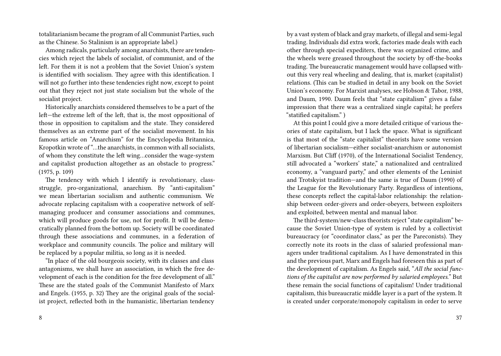totalitarianism became the program of all Communist Parties, such as the Chinese. So Stalinism is an appropriate label.)

Among radicals, particularly among anarchists, there are tendencies which reject the labels of socialist, of communist, and of the left. For them it is not a problem that the Soviet Union's system is identified with socialism. They agree with this identification. I will not go further into these tendencies right now, except to point out that they reject not just state socialism but the whole of the socialist project.

Historically anarchists considered themselves to be a part of the left—the extreme left of the left, that is, the most oppositional of those in opposition to capitalism and the state. They considered themselves as an extreme part of the socialist movement. In his famous article on "Anarchism" for the Encyclopedia Britannica, Kropotkin wrote of "…the anarchists, in common with all socialists, of whom they constitute the left wing…consider the wage-system and capitalist production altogether as an obstacle to progress." (1975, p. 109)

The tendency with which I identify is revolutionary, classstruggle, pro-organizational, anarchism. By "anti-capitalism" we mean libertarian socialism and authentic communism. We advocate replacing capitalism with a cooperative network of selfmanaging producer and consumer associations and communes, which will produce goods for use, not for profit. It will be democratically planned from the bottom up. Society will be coordinated through these associations and communes, in a federation of workplace and community councils. The police and military will be replaced by a popular militia, so long as it is needed.

"In place of the old bourgeois society, with its classes and class antagonisms, we shall have an association, in which the free development of each is the condition for the free development of all." These are the stated goals of the Communist Manifesto of Marx and Engels. (1955, p. 32) They are the original goals of the socialist project, reflected both in the humanistic, libertarian tendency by a vast system of black and gray markets, of illegal and semi-legal trading. Individuals did extra work, factories made deals with each other through special expediters, there was organized crime, and the wheels were greased throughout the society by off-the-books trading. The bureaucratic management would have collapsed without this very real wheeling and dealing, that is, market (capitalist) relations. (This can be studied in detail in any book on the Soviet Union's economy. For Marxist analyses, see Hobson & Tabor, 1988, and Daum, 1990. Daum feels that "state capitalism" gives a false impression that there was a centralized single capital; he prefers "statified capitalism." )

At this point I could give a more detailed critique of various theories of state capitalism, but I lack the space. What is significant is that most of the "state capitalist" theorists have some version of libertarian socialism—either socialist-anarchism or autonomist Marxism. But Cliff (1970), of the International Socialist Tendency, still advocated a "workers' state," a nationalized and centralized economy, a "vanguard party," and other elements of the Leninist and Trotskyist tradition—and the same is true of Daum (1990) of the League for the Revolutionary Party. Regardless of intentions, these concepts reflect the capital-labor relationship: the relationship between order-givers and order-obeyers, between exploiters and exploited, between mental and manual labor.

The third-system/new-class theorists reject "state capitalism" because the Soviet Union-type of system is ruled by a collectivist bureaucracy (or "coordinator class," as per the Pareconists). They correctly note its roots in the class of salaried professional managers under traditional capitalism. As I have demonstrated in this and the previous part, Marx and Engels had foreseen this as part of the development of capitalism. As Engels said, "*All the social functions of the capitalist are now performed by salaried employees.*" But these remain the social functions of capitalism! Under traditional capitalism, this bureaucratic middle layer is a part of the system. It is created under corporate/monopoly capitalism in order to serve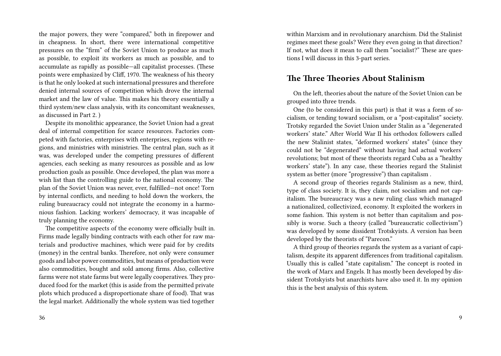the major powers, they were "compared," both in firepower and in cheapness. In short, there were international competitive pressures on the "firm" of the Soviet Union to produce as much as possible, to exploit its workers as much as possible, and to accumulate as rapidly as possible—all capitalist processes. (These points were emphasized by Cliff, 1970. The weakness of his theory is that he only looked at such international pressures and therefore denied internal sources of competition which drove the internal market and the law of value. This makes his theory essentially a third system/new class analysis, with its concomitant weaknesses, as discussed in Part 2. )

Despite its monolithic appearance, the Soviet Union had a great deal of internal competition for scarce resources. Factories competed with factories, enterprises with enterprises, regions with regions, and ministries with ministries. The central plan, such as it was, was developed under the competing pressures of different agencies, each seeking as many resources as possible and as low production goals as possible. Once developed, the plan was more a wish list than the controlling guide to the national economy. The plan of the Soviet Union was never, ever, fulfilled—not once! Torn by internal conflicts, and needing to hold down the workers, the ruling bureaucracy could not integrate the economy in a harmonious fashion. Lacking workers' democracy, it was incapable of truly planning the economy.

The competitive aspects of the economy were officially built in. Firms made legally binding contracts with each other for raw materials and productive machines, which were paid for by credits (money) in the central banks. Therefore, not only were consumer goods and labor power commodities, but means of production were also commodities, bought and sold among firms. Also, collective farms were not state farms but were legally cooperatives. They produced food for the market (this is aside from the permitted private plots which produced a disproportionate share of food). That was the legal market. Additionally the whole system was tied together within Marxism and in revolutionary anarchism. Did the Stalinist regimes meet these goals? Were they even going in that direction? If not, what does it mean to call them "socialist?" These are questions I will discuss in this 3-part series.

#### **The Three Theories About Stalinism**

On the left, theories about the nature of the Soviet Union can be grouped into three trends.

One (to be considered in this part) is that it was a form of socialism, or tending toward socialism, or a "post-capitalist" society. Trotsky regarded the Soviet Union under Stalin as a "degenerated workers' state." After World War II his orthodox followers called the new Stalinist states, "deformed workers' states" (since they could not be "degenerated" without having had actual workers' revolutions; but most of these theorists regard Cuba as a "healthy workers' state"). In any case, these theories regard the Stalinist system as better (more "progressive") than capitalism .

A second group of theories regards Stalinism as a new, third, type of class society. It is, they claim, not socialism and not capitalism. The bureaucracy was a new ruling class which managed a nationalized, collectivized, economy. It exploited the workers in some fashion. This system is not better than capitalism and possibly is worse. Such a theory (called "bureaucratic collectivism") was developed by some dissident Trotskyists. A version has been developed by the theorists of "Parecon."

A third group of theories regards the system as a variant of capitalism, despite its apparent differences from traditional capitalism. Usually this is called "state capitalism." The concept is rooted in the work of Marx and Engels. It has mostly been developed by dissident Trotskyists but anarchists have also used it. In my opinion this is the best analysis of this system.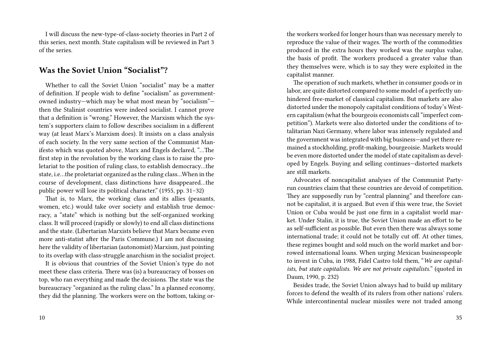I will discuss the new-type-of-class-society theories in Part 2 of this series, next month. State capitalism will be reviewed in Part 3 of the series.

### **Was the Soviet Union "Socialist"?**

Whether to call the Soviet Union "socialist" may be a matter of definition. If people wish to define "socialism" as governmentowned industry—which may be what most mean by "socialism" then the Stalinist countries were indeed socialist. I cannot prove that a definition is "wrong." However, the Marxism which the system's supporters claim to follow describes socialism in a different way (at least Marx's Marxism does). It insists on a class analysis of each society. In the very same section of the Communist Manifesto which was quoted above, Marx and Engels declared, "…The first step in the revolution by the working class is to raise the proletariat to the position of ruling class, to establish democracy…the state, i.e…the proletariat organized as the ruling class…When in the course of development, class distinctions have disappeared…the public power will lose its political character." (1955, pp. 31–32)

That is, to Marx, the working class and its allies (peasants, women, etc.) would take over society and establish true democracy, a "state" which is nothing but the self-organized working class. It will proceed (rapidly or slowly) to end all class distinctions and the state. (Libertarian Marxists believe that Marx became even more anti-statist after the Paris Commune.) I am not discussing here the validity of libertarian (autonomist) Marxism, just pointing to its overlap with class-struggle anarchism in the socialist project.

It is obvious that countries of the Soviet Union's type do not meet these class criteria. There was (is) a bureaucracy of bosses on top, who ran everything and made the decisions. The state was the bureaucracy "organized as the ruling class." In a planned economy, they did the planning. The workers were on the bottom, taking or-

the workers worked for longer hours than was necessary merely to reproduce the value of their wages. The worth of the commodities produced in the extra hours they worked was the surplus value, the basis of profit. The workers produced a greater value than they themselves were, which is to say they were exploited in the capitalist manner.

The operation of such markets, whether in consumer goods or in labor, are quite distorted compared to some model of a perfectly unhindered free-market of classical capitalism. But markets are also distorted under the monopoly capitalist conditions of today's Western capitalism (what the bourgeois economists call "imperfect competition"). Markets were also distorted under the conditions of totalitarian Nazi Germany, where labor was intensely regulated and the government was integrated with big business—and yet there remained a stockholding, profit-making, bourgeoisie. Markets would be even more distorted under the model of state capitalism as developed by Engels. Buying and selling continues—distorted markets are still markets.

Advocates of noncapitalist analyses of the Communist Partyrun countries claim that these countries are devoid of competition. They are supposedly run by "central planning" and therefore cannot be capitalist, it is argued. But even if this were true, the Soviet Union or Cuba would be just one firm in a capitalist world market. Under Stalin, it is true, the Soviet Union made an effort to be as self-sufficient as possible. But even then there was always some international trade; it could not be totally cut off. At other times, these regimes bought and sold much on the world market and borrowed international loans. When urging Mexican businesspeople to invest in Cuba, in 1988, Fidel Castro told them, "*We are capitalists, but state capitalists. We are not private capitalists.*" (quoted in Daum, 1990, p. 232)

Besides trade, the Soviet Union always had to build up military forces to defend the wealth of its rulers from other nations' rulers. While intercontinental nuclear missiles were not traded among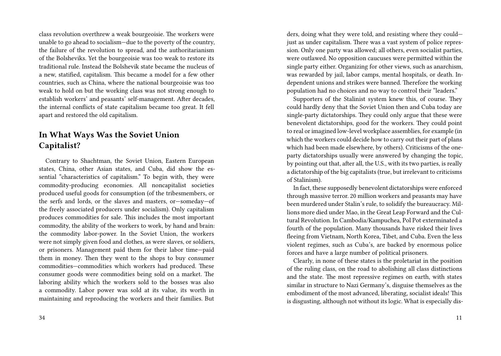class revolution overthrew a weak bourgeoisie. The workers were unable to go ahead to socialism—due to the poverty of the country, the failure of the revolution to spread, and the authoritarianism of the Bolsheviks. Yet the bourgeoisie was too weak to restore its traditional rule. Instead the Bolshevik state became the nucleus of a new, statified, capitalism. This became a model for a few other countries, such as China, where the national bourgeoisie was too weak to hold on but the working class was not strong enough to establish workers' and peasants' self-management. After decades, the internal conflicts of state capitalism became too great. It fell apart and restored the old capitalism.

# **In What Ways Was the Soviet Union Capitalist?**

Contrary to Shachtman, the Soviet Union, Eastern European states, China, other Asian states, and Cuba, did show the essential "characteristics of capitalism." To begin with, they were commodity-producing economies. All noncapitalist societies produced useful goods for consumption (of the tribesmembers, or the serfs and lords, or the slaves and masters, or—someday—of the freely associated producers under socialism). Only capitalism produces commodities for sale. This includes the most important commodity, the ability of the workers to work, by hand and brain: the commodity labor-power. In the Soviet Union, the workers were not simply given food and clothes, as were slaves, or soldiers, or prisoners. Management paid them for their labor time—paid them in money. Then they went to the shops to buy consumer commodities—commodities which workers had produced. These consumer goods were commodities being sold on a market. The laboring ability which the workers sold to the bosses was also a commodity. Labor power was sold at its value, its worth in maintaining and reproducing the workers and their families. But

ders, doing what they were told, and resisting where they could just as under capitalism. There was a vast system of police repression. Only one party was allowed; all others, even socialist parties, were outlawed. No opposition caucuses were permitted within the single party either. Organizing for other views, such as anarchism, was rewarded by jail, labor camps, mental hospitals, or death. Independent unions and strikes were banned. Therefore the working population had no choices and no way to control their "leaders."

Supporters of the Stalinist system knew this, of course. They could hardly deny that the Soviet Union then and Cuba today are single-party dictatorships. They could only argue that these were benevolent dictatorships, good for the workers. They could point to real or imagined low-level workplace assemblies, for example (in which the workers could decide how to carry out their part of plans which had been made elsewhere, by others). Criticisms of the oneparty dictatorships usually were answered by changing the topic, by pointing out that, after all, the U.S., with its two parties, is really a dictatorship of the big capitalists (true, but irrelevant to criticisms of Stalinism).

In fact, these supposedly benevolent dictatorships were enforced through massive terror. 20 million workers and peasants may have been murdered under Stalin's rule, to solidify the bureaucracy. Millions more died under Mao, in the Great Leap Forward and the Cultural Revolution. In Cambodia/Kampuchea, Pol Pot exterminated a fourth of the population. Many thousands have risked their lives fleeing from Vietnam, North Korea, Tibet, and Cuba. Even the less violent regimes, such as Cuba's, are backed by enormous police forces and have a large number of political prisoners.

Clearly, in none of these states is the proletariat in the position of the ruling class, on the road to abolishing all class distinctions and the state. The most repressive regimes on earth, with states similar in structure to Nazi Germany's, disguise themselves as the embodiment of the most advanced, liberating, socialist ideals! This is disgusting, although not without its logic. What is especially dis-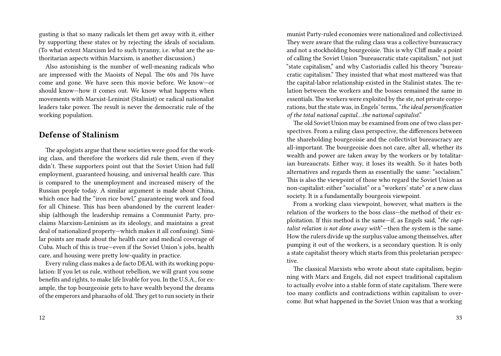gusting is that so many radicals let them get away with it, either by supporting these states or by rejecting the ideals of socialism. (To what extent Marxism led to such tyranny, i.e. what are the authoritarian aspects within Marxism, is another discussion.)

Also astonishing is the number of well-meaning radicals who are impressed with the Maoists of Nepal. The 60s and 70s have come and gone. We have seen this movie before. We know—or should know—how it comes out. We know what happens when movements with Marxist-Leninist (Stalinist) or radical nationalist leaders take power. The result is never the democratic rule of the working population.

## **Defense of Stalinism**

The apologists argue that these societies were good for the working class, and therefore the workers did rule them, even if they didn't. These supporters point out that the Soviet Union had full employment, guaranteed housing, and universal health care. This is compared to the unemployment and increased misery of the Russian people today. A similar argument is made about China, which once had the "iron rice bowl," guaranteeing work and food for all Chinese. This has been abandoned by the current leadership (although the leadership remains a Communist Party, proclaims Marxism-Leninism as its ideology, and maintains a great deal of nationalized property—which makes it all confusing). Similar points are made about the health care and medical coverage of Cuba. Much of this is true—even if the Soviet Union's jobs, health care, and housing were pretty low-quality in practice.

Every ruling class makes a de facto DEAL with its working population: If you let us rule, without rebellion, we will grant you some benefits and rights, to make life livable for you. In the U.S.A., for example, the top bourgeoisie gets to have wealth beyond the dreams of the emperors and pharaohs of old.They get to run society in their munist Party-ruled economies were nationalized and collectivized. They were aware that the ruling class was a collective bureaucracy and not a stockholding bourgeoisie. This is why Cliff made a point of calling the Soviet Union "bureaucratic state capitalism," not just "state capitalism," and why Castoriadis called his theory "bureaucratic capitalism." They insisted that what most mattered was that the capital-labor relationship existed in the Stalinist states. The relation between the workers and the bosses remained the same in essentials. The workers were exploited by the ste, not private corporations, but the state was, in Engels' terms, "*the ideal personification of the total national capital…the national capitalist*."

The old Soviet Union may be examined from one of two class perspectives. From a ruling class perspective, the differences between the shareholding bourgeoisie and the collectivist bureaucracy are all-important. The bourgeoisie does not care, after all, whether its wealth and power are taken away by the workers or by totalitarian bureaucrats. Either way, it loses its wealth. So it hates both alternatives and regards them as essentially the same: "socialism." This is also the viewpoint of those who regard the Soviet Union as non-capitalist: either "socialist" or a "workers' state" or a new class society. It is a fundamentally bourgeois viewpoint.

From a working class viewpoint, however, what matters is the relation of the workers to the boss class—the method of their exploitation. If this method is the same—if, as Engels said, "*the capitalist relation is not done away with*"—then the system is the same. How the rulers divide up the surplus value among themselves, after pumping it out of the workers, is a secondary question. It is only a state capitalist theory which starts from this proletarian perspective.

The classical Marxists who wrote about state capitalism, beginning with Marx and Engels, did not expect traditional capitalism to actually evolve into a stable form of state capitalism. There were too many conflicts and contradictions within capitalism to overcome. But what happened in the Soviet Union was that a working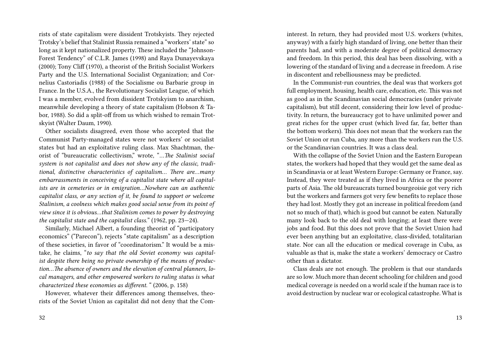rists of state capitalism were dissident Trotskyists. They rejected Trotsky's belief that Stalinist Russia remained a "workers' state" so long as it kept nationalized property. These included the "Johnson-Forest Tendency" of C.L.R. James (1998) and Raya Dunayevskaya (2000); Tony Cliff (1970), a theorist of the British Socialist Workers Party and the U.S. International Socialist Organization; and Cornelius Castoriadis (1988) of the Socialisme ou Barbarie group in France. In the U.S.A., the Revolutionary Socialist League, of which I was a member, evolved from dissident Trotskyism to anarchism, meanwhile developing a theory of state capitalism (Hobson & Tabor, 1988). So did a split-off from us which wished to remain Trotskyist (Walter Daum, 1990).

Other socialists disagreed, even those who accepted that the Communist Party-managed states were not workers' or socialist states but had an exploitative ruling class. Max Shachtman, theorist of "bureaucratic collectivism," wrote, "*…The Stalinist social system is not capitalist and does not show any of the classic, traditional, distinctive characteristics of capitalism… There are…many embarrassments in conceiving of a capitalist state where all capitalists are in cemeteries or in emigration…Nowhere can an authentic capitalist class, or any section of it, be found to support or welcome Stalinism, a coolness which makes good social sense from its point of view since it is obvious…that Stalinism comes to power by destroying the capitalist state and the capitalist class.*" (1962, pp. 23—24).

Similarly, Michael Albert, a founding theorist of "participatory economics" ("Parecon"), rejects "state capitalism" as a description of these societies, in favor of "coordinatorism." It would be a mistake, he claims, "*to say that the old Soviet economy was capitalist despite there being no private ownership of the means of production…The absence of owners and the elevation of central planners, local managers, and other empowered workers to ruling status is what characterized these economies as different*. " (2006, p. 158)

However, whatever their differences among themselves, theorists of the Soviet Union as capitalist did not deny that the Cominterest. In return, they had provided most U.S. workers (whites, anyway) with a fairly high standard of living, one better than their parents had, and with a moderate degree of political democracy and freedom. In this period, this deal has been dissolving, with a lowering of the standard of living and a decrease in freedom. A rise in discontent and rebelliousness may be predicted.

In the Communist-run countries, the deal was that workers got full employment, housing, health care, education, etc. This was not as good as in the Scandinavian social democracies (under private capitalism), but still decent, considering their low level of productivity. In return, the bureaucracy got to have unlimited power and great riches for the upper crust (which lived far, far, better than the bottom workers). This does not mean that the workers ran the Soviet Union or run Cuba, any more than the workers run the U.S. or the Scandinavian countries. It was a class deal.

With the collapse of the Soviet Union and the Eastern European states, the workers had hoped that they would get the same deal as in Scandinavia or at least Western Europe: Germany or France, say. Instead, they were treated as if they lived in Africa or the poorer parts of Asia. The old bureaucrats turned bourgeoisie got very rich but the workers and farmers got very few benefits to replace those they had lost. Mostly they got an increase in political freedom (and not so much of that), which is good but cannot be eaten. Naturally many look back to the old deal with longing; at least there were jobs and food. But this does not prove that the Soviet Union had ever been anything but an exploitative, class-divided, totalitarian state. Nor can all the education or medical coverage in Cuba, as valuable as that is, make the state a workers' democracy or Castro other than a dictator.

Class deals are not enough. The problem is that our standards are so low. Much more than decent schooling for children and good medical coverage is needed on a world scale if the human race is to avoid destruction by nuclear war or ecological catastrophe. What is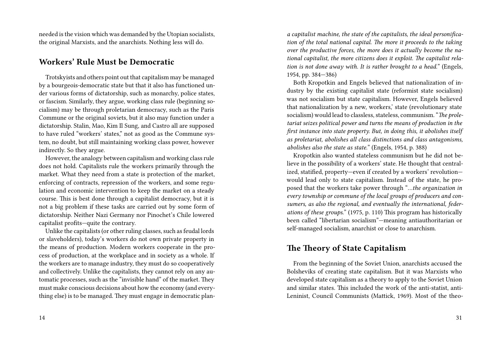needed is the vision which was demanded by the Utopian socialists, the original Marxists, and the anarchists. Nothing less will do.

#### **Workers' Rule Must be Democratic**

Trotskyists and others point out that capitalism may be managed by a bourgeois-democratic state but that it also has functioned under various forms of dictatorship, such as monarchy, police states, or fascism. Similarly, they argue, working class rule (beginning socialism) may be through proletarian democracy, such as the Paris Commune or the original soviets, but it also may function under a dictatorship. Stalin, Mao, Kim Il Sung, and Castro all are supposed to have ruled "workers' states," not as good as the Commune system, no doubt, but still maintaining working class power, however indirectly. So they argue.

However, the analogy between capitalism and working class rule does not hold. Capitalists rule the workers primarily through the market. What they need from a state is protection of the market, enforcing of contracts, repression of the workers, and some regulation and economic intervention to keep the market on a steady course. This is best done through a capitalist democracy, but it is not a big problem if these tasks are carried out by some form of dictatorship. Neither Nazi Germany nor Pinochet's Chile lowered capitalist profits—quite the contrary.

Unlike the capitalists (or other ruling classes, such as feudal lords or slaveholders), today's workers do not own private property in the means of production. Modern workers cooperate in the process of production, at the workplace and in society as a whole. If the workers are to manage industry, they must do so cooperatively and collectively. Unlike the capitalists, they cannot rely on any automatic processes, such as the "invisible hand" of the market. They must make conscious decisions about how the economy (and everything else) is to be managed. They must engage in democratic plan-

*a capitalist machine, the state of the capitalists, the ideal personification of the total national capital. The more it proceeds to the taking over the productive forces, the more does it actually become the national capitalist, the more citizens does it exploit. The capitalist relation is not done away with. It is rather brought to a head.*" (Engels, 1954, pp. 384—386)

Both Kropotkin and Engels believed that nationalization of industry by the existing capitalist state (reformist state socialism) was not socialism but state capitalism. However, Engels believed that nationalization by a new, workers,' state (revolutionary state socialism) would lead to classless, stateless, communism. "*The proletariat seizes political power and turns the means of production in the first instance into state property. But, in doing this, it abolishes itself as proletariat, abolishes all class distinctions and class antagonisms, abolishes also the state as state.*" (Engels, 1954, p. 388)

Kropotkin also wanted stateless communism but he did not believe in the possibility of a workers' state. He thought that centralized, statified, property—even if created by a workers' revolution would lead only to state capitalism. Instead of the state, he proposed that the workers take power through "*…the organization in every township or commune of the local groups of producers and consumers, as also the regional, and eventually the international, federations of these groups.*" (1975, p. 110) This program has historically been called "libertarian socialism"—meaning antiauthoritarian or self-managed socialism, anarchist or close to anarchism.

### **The Theory of State Capitalism**

From the beginning of the Soviet Union, anarchists accused the Bolsheviks of creating state capitalism. But it was Marxists who developed state capitalism as a theory to apply to the Soviet Union and similar states. This included the work of the anti-statist, anti-Leninist, Council Communists (Mattick, 1969). Most of the theo-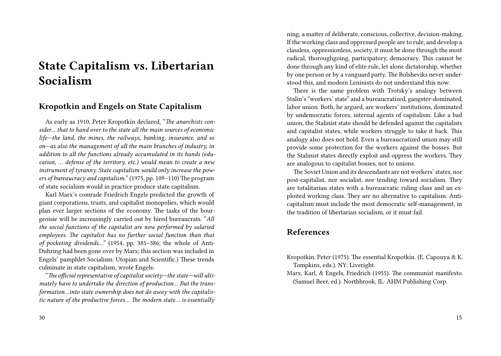# **State Capitalism vs. Libertarian Socialism**

# **Kropotkin and Engels on State Capitalism**

As early as 1910, Peter Kropotkin declared, "*The anarchists consider… that to hand over to the state all the main sources of economic life—the land, the mines, the railways, banking, insurance, and so on—as also the management of all the main branches of industry, in addition to all the functions already accumulated in its hands (education, … defense of the territory, etc.) would mean to create a new instrument of tyranny. State capitalism would only increase the powers of bureaucracy and capitalism.*" (1975, pp. 109–110) The program of state socialism would in practice produce state capitalism.

Karl Marx's comrade Friedrich Engels predicted the growth of giant corporations, trusts, and capitalist monopolies, which would plan ever larger sections of the economy. The tasks of the bourgeoisie will be increasingly carried out by hired bureaucrats. "*All the social functions of the capitalist are now performed by salaried employees. The capitalist has no further social function than that of pocketing dividends…*" (1954, pp. 385–386; the whole of Anti-Duhring had been gone over by Marx; this section was included in Engels' pamphlet Socialism: Utopian and Scientific.) These trends culminate in state capitalism, wrote Engels:

"*The official representative of capitalist society—the state—will ultimately have to undertake the direction of production… But the transformation…into state ownership does not do away with the capitalistic nature of the productive forces… The modern state… is essentially*

ning, a matter of deliberate, conscious, collective, decision-making. If the working class and oppressed people are to rule, and develop a classless, oppressionless, society, it must be done through the most radical, thoroughgoing, participatory, democracy. This cannot be done through any kind of elite rule, let alone dictatorship, whether by one person or by a vanguard party. The Bolsheviks never understood this, and modern Leninists do not understand this now.

There is the same problem with Trotsky's analogy between Stalin's "workers' state" and a bureaucratized, gangster-dominated, labor union. Both, he argued, are workers' institutions, dominated by undemocratic forces, internal agents of capitalism. Like a bad union, the Stalinist state should be defended against the capitalists and capitalist states, while workers struggle to take it back. This analogy also does not hold. Even a bureaucratized union may still provide some protection for the workers against the bosses. But the Stalinist states directly exploit and oppress the workers. They are analogous to capitalist bosses, not to unions.

The Soviet Union and its descendants are not workers' states, nor post-capitalist, nor socialist, nor tending toward socialism. They are totalitarian states with a bureaucratic ruling class and an exploited working class. They are no alternative to capitalism. Anticapitalism must include the most democratic self-management, in the tradition of libertarian socialism, or it must fail.

## **References**

- Kropotkin, Peter (1975). The essential Kropotkin. (E. Capouya & K. Tompkins, eds.). NY: Liveright.
- Marx, Karl, & Engels, Friedrich (1955). The communist manifesto. (Samuel Beer, ed.). Northbrook, IL: AHM Publishing Corp.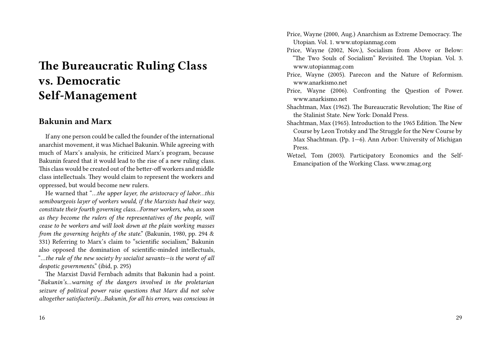# **The Bureaucratic Ruling Class vs. Democratic Self-Management**

## **Bakunin and Marx**

If any one person could be called the founder of the international anarchist movement, it was Michael Bakunin. While agreeing with much of Marx's analysis, he criticized Marx's program, because Bakunin feared that it would lead to the rise of a new ruling class. This class would be created out of the better-off workers and middle class intellectuals. They would claim to represent the workers and oppressed, but would become new rulers.

He warned that "*…the upper layer, the aristocracy of labor…this semibourgeois layer of workers would, if the Marxists had their way, constitute their fourth governing class…Former workers, who, as soon as they become the rulers of the representatives of the people, will cease to be workers and will look down at the plain working masses from the governing heights of the state*." (Bakunin, 1980, pp. 294 & 331) Referring to Marx's claim to "scientific socialism," Bakunin also opposed the domination of scientific-minded intellectuals, "*…the rule of the new society by socialist savants—is the worst of all despotic governments*." (ibid, p. 295)

The Marxist David Fernbach admits that Bakunin had a point. "*Bakunin's…warning of the dangers involved in the proletarian seizure of political power raise questions that Marx did not solve altogether satisfactorily…Bakunin, for all his errors, was conscious in* Price, Wayne (2000, Aug.) Anarchism as Extreme Democracy. The Utopian. Vol. 1. www.utopianmag.com

- Price, Wayne (2002, Nov.), Socialism from Above or Below: "The Two Souls of Socialism" Revisited. The Utopian. Vol. 3. www.utopianmag.com
- Price, Wayne (2005). Parecon and the Nature of Reformism. www.anarkismo.net
- Price, Wayne (2006). Confronting the Question of Power. www.anarkismo.net
- Shachtman, Max (1962). The Bureaucratic Revolution; The Rise of the Stalinist State. New York: Donald Press.
- Shachtman, Max (1965). Introduction to the 1965 Edition. The New Course by Leon Trotsky and The Struggle for the New Course by Max Shachtman. (Pp. 1—6). Ann Arbor: University of Michigan Press.
- Wetzel, Tom (2003). Participatory Economics and the Self-Emancipation of the Working Class. www.zmag.org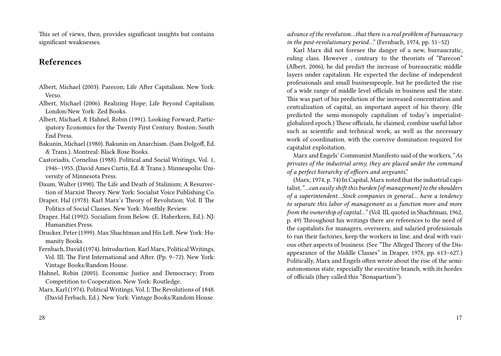This set of views, then, provides significant insights but contains significant weaknesses.

# **References**

- Albert, Michael (2003). Parecon; Life After Capitalism. New York: Verso.
- Albert, Michael (2006). Realizing Hope; Life Beyond Capitalism. London/New York: Zed Books.
- Albert, Michael, & Hahnel, Robin (1991). Looking Forward; Participatory Economics for the Twenty First Century. Boston: South End Press.
- Bakunin, Michael (1980). Bakunin on Anarchism. (Sam Dolgoff, Ed. & Trans.). Montreal: Black Rose Books.
- Castoriadis, Cornelius (1988). Political and Social Writings, Vol. 1, 1946–1955. (David Ames Curtis, Ed. & Trans.). Minneapolis: University of Minnesota Press.
- Daum, Walter (1990). The Life and Death of Stalinism; A Resurrection of Marxist Theory. New York: Socialist Voice Publishing Co.
- Draper, Hal (1978). Karl Marx's Theory of Revolution; Vol. II The Politics of Social Classes. New York: Monthly Review.
- Draper, Hal (1992). Socialism from Below. (E. Haberkern, Ed.). NJ: Humanities Press.
- Drucker, Peter (1999). Max Shachtman and His Left. New York: Humanity Books.
- Fernbach, David (1974). Introduction. Karl Marx, Political Writings, Vol. III; The First International and After. (Pp. 9–72). New York: Vintage Books/Random House.
- Hahnel, Robin (2005). Economic Justice and Democracy; From Competition to Cooperation. New York: Routledge.
- Marx, Karl (1974). Political Writings, Vol. I; The Revolutions of 1848. (David Ferbach, Ed.). New York: Vintage Books/Random House.

*advance of the revolution…that there is a real problem of bureaucracy in the post-revolutionary period*…" (Fernbach, 1974, pp. 51–52)

Karl Marx did not foresee the danger of a new, bureaucratic, ruling class. However , contrary to the theorists of "Parecon" (Albert, 2006), he did predict the increase of bureaucratic middle layers under capitalism. He expected the decline of independent professionals and small businesspeople, but he predicted the rise of a wide range of middle level officials in business and the state. This was part of his prediction of the increased concentration and centralization of capital, an important aspect of his theory. (He predicted the semi-monopoly capitalism of today's imperialistglobalized epoch.) These officials, he claimed, combine useful labor such as scientific and technical work, as well as the necessary work of coordination, with the coercive domination required for capitalist exploitation.

Marx and Engels' Communist Manifesto said of the workers, "*As privates of the industrial army, they are placed under the command of a perfect hierarchy of officers and sergeants*."

(Marx, 1974, p. 74) In Capital, Marx noted that the industrial capitalist, ".*..can easily shift this burden [of management] to the shoulders of a superintendent…Stock companies in general… have a tendency to separate this labor of management as a function more and more from the ownership of capital…*" (Vol. III, quoted in Shachtman, 1962, p. 49) Throughout his writings there are references to the need of the capitalists for managers, overseers, and salaried professionals to run their factories, keep the workers in line, and deal with various other aspects of business. (See "The Alleged Theory of the Disappearance of the Middle Classes" in Draper, 1978, pp. 613–627.) Politically, Marx and Engels often wrote about the rise of the semiautonomous state, especially the executive branch, with its hordes of officials (they called this "Bonapartism").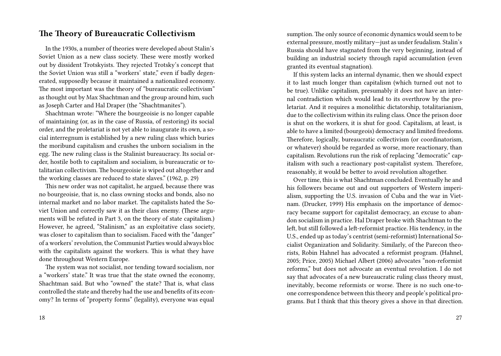### **The Theory of Bureaucratic Collectivism**

In the 1930s, a number of theories were developed about Stalin's Soviet Union as a new class society. These were mostly worked out by dissident Trotskyists. They rejected Trotsky's concept that the Soviet Union was still a "workers' state," even if badly degenerated, supposedly because it maintained a nationalized economy. The most important was the theory of "bureaucratic collectivism" as thought out by Max Shachtman and the group around him, such as Joseph Carter and Hal Draper (the "Shachtmanites").

Shachtman wrote: "Where the bourgeoisie is no longer capable of maintaining (or, as in the case of Russia, of restoring) its social order, and the proletariat is not yet able to inaugurate its own, a social interregnum is established by a new ruling class which buries the moribund capitalism and crushes the unborn socialism in the egg. The new ruling class is the Stalinist bureaucracy. Its social order, hostile both to capitalism and socialism, is bureaucratic or totalitarian collectivism. The bourgeoisie is wiped out altogether and the working classes are reduced to state slaves." (1962, p. 29)

This new order was not capitalist, he argued, because there was no bourgeoisie, that is, no class owning stocks and bonds, also no internal market and no labor market. The capitalists hated the Soviet Union and correctly saw it as their class enemy. (These arguments will be refuted in Part 3, on the theory of state capitalism.) However, he agreed, "Stalinism," as an exploitative class society, was closer to capitalism than to socialism. Faced with the "danger" of a workers' revolution, the Communist Parties would always bloc with the capitalists against the workers. This is what they have done throughout Western Europe.

The system was not socialist, nor tending toward socialism, nor a "workers' state." It was true that the state owned the economy, Shachtman said. But who "owned" the state? That is, what class controlled the state and thereby had the use and benefits of its economy? In terms of "property forms" (legality), everyone was equal

sumption. The only source of economic dynamics would seem to be external pressure, mostly military—just as under feudalism. Stalin's Russia should have stagnated from the very beginning, instead of building an industrial society through rapid accumulation (even granted its eventual stagnation).

If this system lacks an internal dynamic, then we should expect it to last much longer than capitalism (which turned out not to be true). Unlike capitalism, presumably it does not have an internal contradiction which would lead to its overthrow by the proletariat. And it requires a monolithic dictatorship, totalitarianism, due to the collectivism within its ruling class. Once the prison door is shut on the workers, it is shut for good. Capitalism, at least, is able to have a limited (bourgeois) democracy and limited freedoms. Therefore, logically, bureaucratic collectivism (or coordinatorism, or whatever) should be regarded as worse, more reactionary, than capitalism. Revolutions run the risk of replacing "democratic" capitalism with such a reactionary post-capitalist system. Therefore, reasonably, it would be better to avoid revolution altogether.

Over time, this is what Shachtman concluded. Eventually he and his followers became out and out supporters of Western imperialism, supporting the U.S. invasion of Cuba and the war in Vietnam. (Drucker, 1999) His emphasis on the importance of democracy became support for capitalist democracy, an excuse to abandon socialism in practice. Hal Draper broke with Shachtman to the left, but still followed a left-reformist practice. His tendency, in the U.S., ended up as today's centrist (semi-reformist) International Socialist Organization and Solidarity. Similarly, of the Parecon theorists, Robin Hahnel has advocated a reformist program. (Hahnel, 2005; Price, 2005) Michael Albert (2006) advocates "non-reformist reforms," but does not advocate an eventual revolution. I do not say that advocates of a new bureaucratic ruling class theory must, inevitably, become reformists or worse. There is no such one-toone correspondence between this theory and people's political programs. But I think that this theory gives a shove in that direction.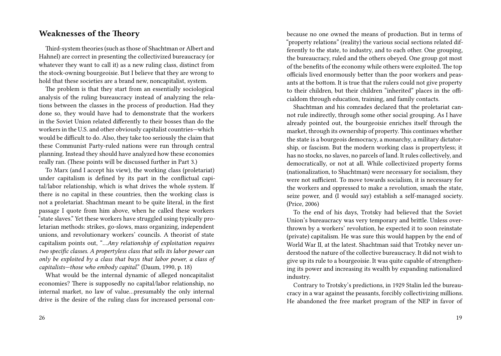#### **Weaknesses of the Theory**

Third-system theories (such as those of Shachtman or Albert and Hahnel) are correct in presenting the collectivized bureaucracy (or whatever they want to call it) as a new ruling class, distinct from the stock-owning bourgeoisie. But I believe that they are wrong to hold that these societies are a brand new, noncapitalist, system.

The problem is that they start from an essentially sociological analysis of the ruling bureaucracy instead of analyzing the relations between the classes in the process of production. Had they done so, they would have had to demonstrate that the workers in the Soviet Union related differently to their bosses than do the workers in the U.S. and other obviously capitalist countries—which would be difficult to do. Also, they take too seriously the claim that these Communist Party-ruled nations were run through central planning. Instead they should have analyzed how these economies really ran. (These points will be discussed further in Part 3.)

To Marx (and I accept his view), the working class (proletariat) under capitalism is defined by its part in the conflictual capital/labor relationship, which is what drives the whole system. If there is no capital in these countries, then the working class is not a proletariat. Shachtman meant to be quite literal, in the first passage I quote from him above, when he called these workers "state slaves." Yet these workers have struggled using typically proletarian methods: strikes, go-slows, mass organizing, independent unions, and revolutionary workers' councils. A theorist of state capitalism points out, "*…Any relationship of exploitation requires two specific classes. A propertyless class that sells its labor power can only be exploited by a class that buys that labor power, a class of capitalists—those who embody capital*." (Daum, 1990, p. 18)

What would be the internal dynamic of alleged noncapitalist economies? There is supposedly no capital/labor relationship, no internal market, no law of value…presumably the only internal drive is the desire of the ruling class for increased personal conbecause no one owned the means of production. But in terms of "property relations" (reality) the various social sections related differently to the state, to industry, and to each other. One grouping, the bureaucracy, ruled and the others obeyed. One group got most of the benefits of the economy while others were exploited. The top officials lived enormously better than the poor workers and peasants at the bottom. It is true that the rulers could not give property to their children, but their children "inherited" places in the officialdom through education, training, and family contacts.

Shachtman and his comrades declared that the proletariat cannot rule indirectly, through some other social grouping. As I have already pointed out, the bourgeoisie enriches itself through the market, through its ownership of property. This continues whether the state is a bourgeois democracy, a monarchy, a military dictatorship, or fascism. But the modern working class is propertyless; it has no stocks, no slaves, no parcels of land. It rules collectively, and democratically, or not at all. While collectivized property forms (nationalization, to Shachtman) were necessary for socialism, they were not sufficient. To move towards socialism, it is necessary for the workers and oppressed to make a revolution, smash the state, seize power, and (I would say) establish a self-managed society. (Price, 2006)

To the end of his days, Trotsky had believed that the Soviet Union's bureaucracy was very temporary and brittle. Unless overthrown by a workers' revolution, he expected it to soon reinstate (private) capitalism. He was sure this would happen by the end of World War II, at the latest. Shachtman said that Trotsky never understood the nature of the collective bureaucracy. It did not wish to give up its rule to a bourgeoisie. It was quite capable of strengthening its power and increasing its wealth by expanding nationalized industry.

Contrary to Trotsky's predictions, in 1929 Stalin led the bureaucracy in a war against the peasants, forcibly collectivizing millions. He abandoned the free market program of the NEP in favor of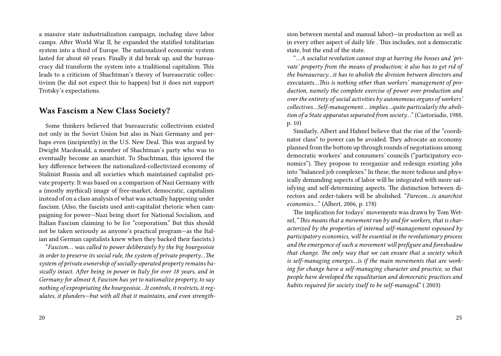a massive state industrialization campaign, includng slave labor camps. After World War II, he expanded the statified totalitarian system into a third of Europe. The nationalized economic system lasted for about 60 years. Finally it did break up, and the bureaucracy did transform the system into a traditional capitalism. This leads to a criticism of Shachtman's theory of bureaucratic collectivism (he did not expect this to happen) but it does not support Trotsky's expectations.

### **Was Fascism a New Class Society?**

Some thinkers believed that bureaucratic collectivism existed not only in the Soviet Union but also in Nazi Germany and perhaps even (incipiently) in the U.S. New Deal. This was argued by Dwight Macdonald, a member of Shachtman's party who was to eventually become an anarchist. To Shachtman, this ignored the key difference between the nationalized-collectivized economy of Stalinist Russia and all societies which maintained capitalist private property. It was based on a comparison of Nazi Germany with a (mostly mythical) image of free-market, democratic, capitalism instead of on a class analysis of what was actually happening under fascism. (Also, the fascists used anti-capitalist rhetoric when campaigning for power—Nazi being short for National Socialism, and Italian Fascism claiming to be for "corporatism." But this should not be taken seriously as anyone's practical program—as the Italian and German capitalists knew when they backed their fascists.)

"*Fascism… was called to power deliberately by the big bourgeoisie in order to preserve its social rule, the system of private property…The system of private ownership of socially-operated property remains basically intact. After being in power in Italy for over 18 years, and in Germany for almost 8, Fascism has yet to nationalize property, to say nothing of expropriating the bourgeoisie…It controls, it restricts, it regulates, it plunders—but with all that it maintains, and even strength-*

20

sion between mental and manual labor)—in production as well as in every other aspect of daily life . This includes, not a democratic state, but the end of the state.

"*…A socialist revolution cannot stop at barring the bosses and 'private' property from the means of production; it also has to get rid of the bureaucracy…it has to abolish the division between directors and executants…This is nothing other than workers' management of production, namely the complete exercise of power over production and over the entirety of social activities by autonomous organs of workers' collectives…Self-management… implies…quite particularly the abolition of a State apparatus separated from society…*" (Castoriadis, 1988, p. 10)

Similarly, Albert and Hahnel believe that the rise of the "coordinator class" to power can be avoided. They advocate an economy planned from the bottom up through rounds of negotiations among democratic workers' and consumers' councils ("participatory economics"). They propose to reorganize and redesign existing jobs into "balanced job complexes." In these, the more tedious and physically demanding aspects of labor will be integrated with more satisfying and self-determining aspects. The distinction between directors and order-takers will be abolished. "*Parecon…is anarchist economics…*" (Albert, 2006, p. 178)

The implication for todays' movements was drawn by Tom Wetzel, "This means that a movement run by and for workers, that is char*acterized by the properties of internal self-management espoused by participatory economics, will be essential in the revolutionary process and the emergence of such a movement will prefigure and foreshadow that change. The only way that we can ensure that a society which is self-managing emerges…is if the main movements that are working for change have a self-managing character and practice, so that people have developed the equalitarian and democratic practices and habits required for society itself to be self-managed*." ( 2003)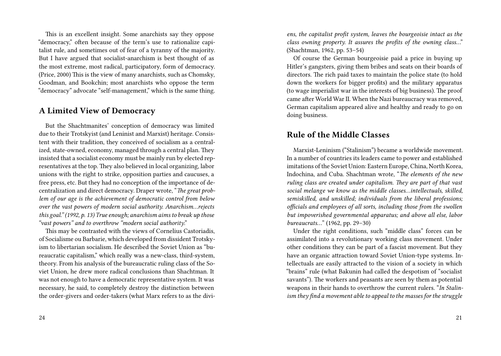This is an excellent insight. Some anarchists say they oppose "democracy," often because of the term's use to rationalize capitalist rule, and sometimes out of fear of a tyranny of the majority. But I have argued that socialist-anarchism is best thought of as the most extreme, most radical, participatory, form of democracy. (Price, 2000) This is the view of many anarchists, such as Chomsky, Goodman, and Bookchin; most anarchists who oppose the term "democracy" advocate "self-management," which is the same thing.

### **A Limited View of Democracy**

But the Shachtmanites' conception of democracy was limited due to their Trotskyist (and Leninist and Marxist) heritage. Consistent with their tradition, they conceived of socialism as a centralized, state-owned, economy, managed through a central plan. They insisted that a socialist economy must be mainly run by elected representatives at the top. They also believed in local organizing, labor unions with the right to strike, opposition parties and caucuses, a free press, etc. But they had no conception of the importance of decentralization and direct democracy. Draper wrote, "*The great problem of our age is the achievement of democratic control from below over the vast powers of modern social authority. Anarchism…rejects this goal." (1992, p. 13) True enough; anarchism aims to break up those "vast powers" and to overthrow "modern social authority*."

This may be contrasted with the views of Cornelius Castoriadis, of Socialisme ou Barbarie, which developed from dissident Trotskyism to libertarian socialism. He described the Soviet Union as "bureaucratic capitalism," which really was a new-class, third-system, theory. From his analysis of the bureaucratic ruling class of the Soviet Union, he drew more radical conclusions than Shachtman. It was not enough to have a democratic representative system. It was necessary, he said, to completely destroy the distinction between the order-givers and order-takers (what Marx refers to as the divi-

*ens, the capitalist profit system, leaves the bourgeoisie intact as the class owning property. It assures the profits of the owning class*…" (Shachtman, 1962, pp. 53–54)

Of course the German bourgeoisie paid a price in buying up Hitler's gangsters, giving them bribes and seats on their boards of directors. The rich paid taxes to maintain the police state (to hold down the workers for bigger profits) and the military apparatus (to wage imperialist war in the interests of big business). The proof came after World War II. When the Nazi bureaucracy was removed, German capitalism appeared alive and healthy and ready to go on doing business.

#### **Rule of the Middle Classes**

Marxist-Leninism ("Stalinism") became a worldwide movement. In a number of countries its leaders came to power and established imitations of the Soviet Union: Eastern Europe, China, North Korea, Indochina, and Cuba. Shachtman wrote, "*The elements of the new ruling class are created under capitalism. They are part of that vast social melange we know as the middle classes…intellectuals, skilled, semiskilled, and unskilled; individuals from the liberal professions; officials and employees of all sorts, including those from the swollen but impoverished governmental apparatus; and above all else, labor bureaucrats…*" (1962, pp. 29–30)

Under the right conditions, such "middle class" forces can be assimilated into a revolutionary working class movement. Under other conditions they can be part of a fascist movement. But they have an organic attraction toward Soviet Union-type systems. Intellectuals are easily attracted to the vision of a society in which "brains" rule (what Bakunin had called the despotism of "socialist savants"). The workers and peasants are seen by them as potential weapons in their hands to overthrow the current rulers. "*In Stalinism they find a movement able to appeal to the masses for the struggle*